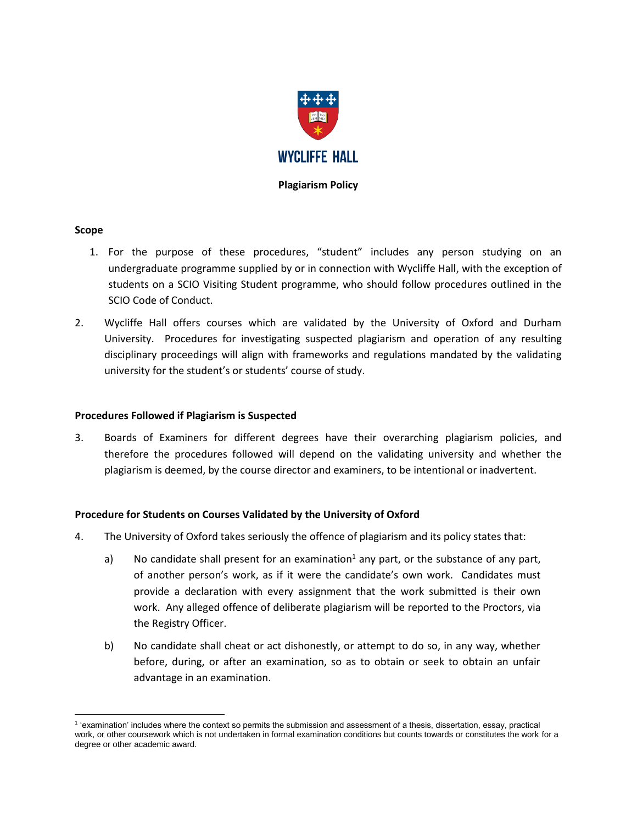

### **Plagiarism Policy**

## **Scope**

- 1. For the purpose of these procedures, "student" includes any person studying on an undergraduate programme supplied by or in connection with Wycliffe Hall, with the exception of students on a SCIO Visiting Student programme, who should follow procedures outlined in the SCIO Code of Conduct.
- 2. Wycliffe Hall offers courses which are validated by the University of Oxford and Durham University. Procedures for investigating suspected plagiarism and operation of any resulting disciplinary proceedings will align with frameworks and regulations mandated by the validating university for the student's or students' course of study.

### **Procedures Followed if Plagiarism is Suspected**

3. Boards of Examiners for different degrees have their overarching plagiarism policies, and therefore the procedures followed will depend on the validating university and whether the plagiarism is deemed, by the course director and examiners, to be intentional or inadvertent.

# **Procedure for Students on Courses Validated by the University of Oxford**

- 4. The University of Oxford takes seriously the offence of plagiarism and its policy states that:
	- a) No candidate shall present for an examination<sup>1</sup> any part, or the substance of any part, of another person's work, as if it were the candidate's own work. Candidates must provide a declaration with every assignment that the work submitted is their own work. Any alleged offence of deliberate plagiarism will be reported to the Proctors, via the Registry Officer.
	- b) No candidate shall cheat or act dishonestly, or attempt to do so, in any way, whether before, during, or after an examination, so as to obtain or seek to obtain an unfair advantage in an examination.

 $\overline{a}$ 1 'examination' includes where the context so permits the submission and assessment of a thesis, dissertation, essay, practical work, or other coursework which is not undertaken in formal examination conditions but counts towards or constitutes the work for a degree or other academic award.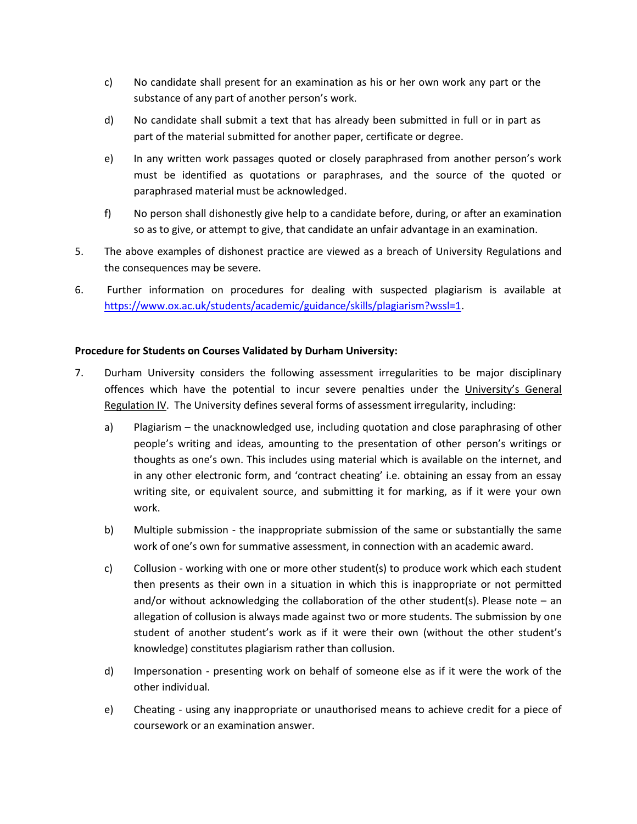- c) No candidate shall present for an examination as his or her own work any part or the substance of any part of another person's work.
- d) No candidate shall submit a text that has already been submitted in full or in part as part of the material submitted for another paper, certificate or degree.
- e) In any written work passages quoted or closely paraphrased from another person's work must be identified as quotations or paraphrases, and the source of the quoted or paraphrased material must be acknowledged.
- f) No person shall dishonestly give help to a candidate before, during, or after an examination so as to give, or attempt to give, that candidate an unfair advantage in an examination.
- 5. The above examples of dishonest practice are viewed as a breach of University Regulations and the consequences may be severe.
- 6. Further information on procedures for dealing with suspected plagiarism is available at [https://www.ox.ac.uk/students/academic/guidance/skills/plagiarism?wssl=1.](https://www.ox.ac.uk/students/academic/guidance/skills/plagiarism?wssl=1)

# **Procedure for Students on Courses Validated by Durham University:**

- 7. Durham University considers the following assessment irregularities to be major disciplinary offences which have the potential to incur severe penalties under the [University's General](https://www.dur.ac.uk/university.calendar/volumei/general_regulations/discipline/)  [Regulation IV.](https://www.dur.ac.uk/university.calendar/volumei/general_regulations/discipline/) The University defines several forms of assessment irregularity, including:
	- a) Plagiarism the unacknowledged use, including quotation and close paraphrasing of other people's writing and ideas, amounting to the presentation of other person's writings or thoughts as one's own. This includes using material which is available on the internet, and in any other electronic form, and 'contract cheating' i.e. obtaining an essay from an essay writing site, or equivalent source, and submitting it for marking, as if it were your own work.
	- b) Multiple submission the inappropriate submission of the same or substantially the same work of one's own for summative assessment, in connection with an academic award.
	- c) Collusion working with one or more other student(s) to produce work which each student then presents as their own in a situation in which this is inappropriate or not permitted and/or without acknowledging the collaboration of the other student(s). Please note – an allegation of collusion is always made against two or more students. The submission by one student of another student's work as if it were their own (without the other student's knowledge) constitutes plagiarism rather than collusion.
	- d) Impersonation presenting work on behalf of someone else as if it were the work of the other individual.
	- e) Cheating using any inappropriate or unauthorised means to achieve credit for a piece of coursework or an examination answer.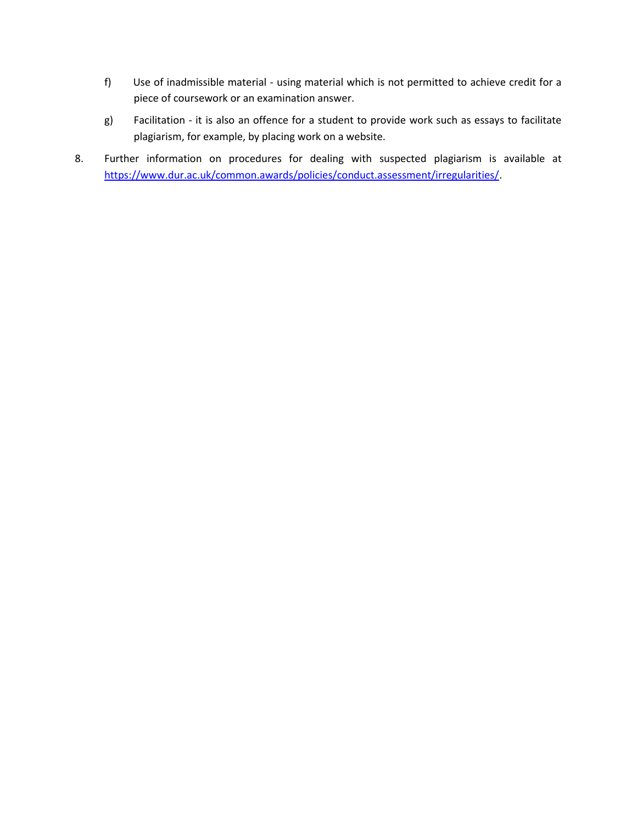- f) Use of inadmissible material using material which is not permitted to achieve credit for a piece of coursework or an examination answer.
- g) Facilitation it is also an offence for a student to provide work such as essays to facilitate plagiarism, for example, by placing work on a website.
- 8. Further information on procedures for dealing with suspected plagiarism is available at [https://www.dur.ac.uk/common.awards/policies/conduct.assessment/irregularities/.](https://www.dur.ac.uk/common.awards/policies/conduct.assessment/irregularities/)